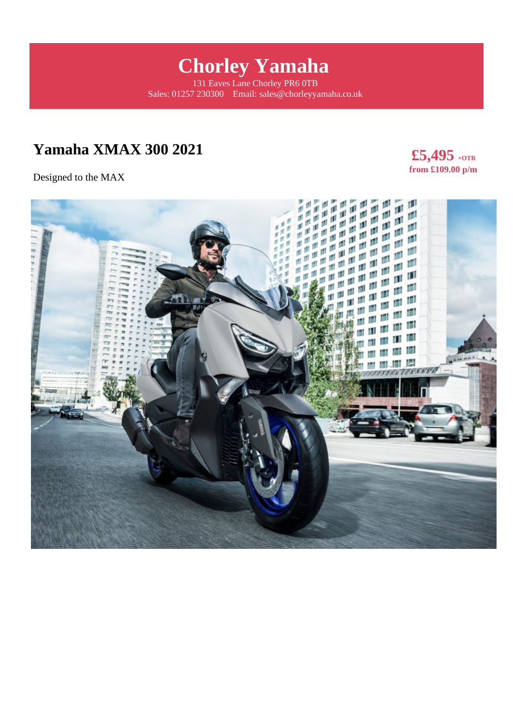# **Chorley Yamaha**

131 Eaves Lane Chorley PR6 0TB Sales: 01257 230300 Email: sales@chorleyyamaha.co.uk

# **Yamaha XMAX 300 2021**

Designed to the MAX



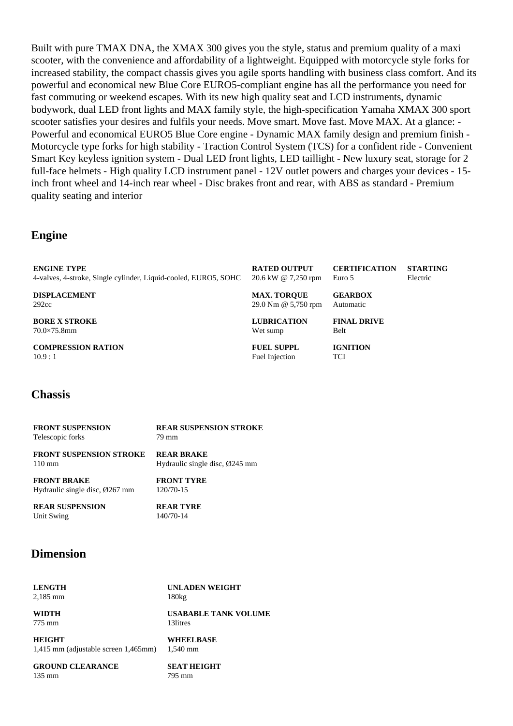Built with pure TMAX DNA, the XMAX 300 gives you the style, status and premium quality of a maxi scooter, with the convenience and affordability of a lightweight. Equipped with motorcycle style forks for increased stability, the compact chassis gives you agile sports handling with business class comfort. And its powerful and economical new Blue Core EURO5-compliant engine has all the performance you need for fast commuting or weekend escapes. With its new high quality seat and LCD instruments, dynamic bodywork, dual LED front lights and MAX family style, the high-specification Yamaha XMAX 300 sport scooter satisfies your desires and fulfils your needs. Move smart. Move fast. Move MAX. At a glance: - Powerful and economical EURO5 Blue Core engine - Dynamic MAX family design and premium finish - Motorcycle type forks for high stability - Traction Control System (TCS) for a confident ride - Convenient Smart Key keyless ignition system - Dual LED front lights, LED taillight - New luxury seat, storage for 2 full-face helmets - High quality LCD instrument panel - 12V outlet powers and charges your devices - 15 inch front wheel and 14-inch rear wheel - Disc brakes front and rear, with ABS as standard - Premium quality seating and interior

#### **Engine**

| <b>ENGINE TYPE</b>                                              | <b>RATED OUTPUT</b> | <b>CERTIFICATION</b> | <b>STARTING</b> |
|-----------------------------------------------------------------|---------------------|----------------------|-----------------|
| 4-valves, 4-stroke, Single cylinder, Liquid-cooled, EURO5, SOHC | 20.6 kW @ 7,250 rpm | Euro 5               | Electric        |
| <b>DISPLACEMENT</b>                                             | <b>MAX. TOROUE</b>  | <b>GEARBOX</b>       |                 |
| 292cc                                                           | 29.0 Nm @ 5,750 rpm | Automatic            |                 |
| <b>BORE X STROKE</b>                                            | <b>LUBRICATION</b>  | <b>FINAL DRIVE</b>   |                 |
| $70.0\times75.8$ mm                                             | Wet sump            | Belt                 |                 |
| <b>COMPRESSION RATION</b>                                       | <b>FUEL SUPPL</b>   | <b>IGNITION</b>      |                 |
| 10.9:1                                                          | Fuel Injection      | <b>TCI</b>           |                 |

#### **Chassis**

| <b>FRONT SUSPENSION</b>                     | <b>REAR SUSPENSION STROKE</b>  |
|---------------------------------------------|--------------------------------|
| Telescopic forks                            | 79 mm                          |
| <b>FRONT SUSPENSION STROKE</b>              | <b>REAR BRAKE</b>              |
| $110 \text{ mm}$                            | Hydraulic single disc, Ø245 mm |
| <b>FRONT BRAKE</b>                          | <b>FRONT TYRE</b>              |
| Hydraulic single disc, $\varnothing$ 267 mm | 120/70-15                      |

**REAR SUSPENSION** Unit Swing

**REAR TYRE** 140/70-14

#### **Dimension**

**LENGTH** 2,185 mm

**WIDTH** 775 mm

180kg **USABABLE TANK VOLUME** 13litres

**UNLADEN WEIGHT**

**HEIGHT** 1,415 mm (adjustable screen 1,465mm)

**GROUND CLEARANCE** 135 mm

**WHEELBASE** 1,540 mm

**SEAT HEIGHT** 795 mm